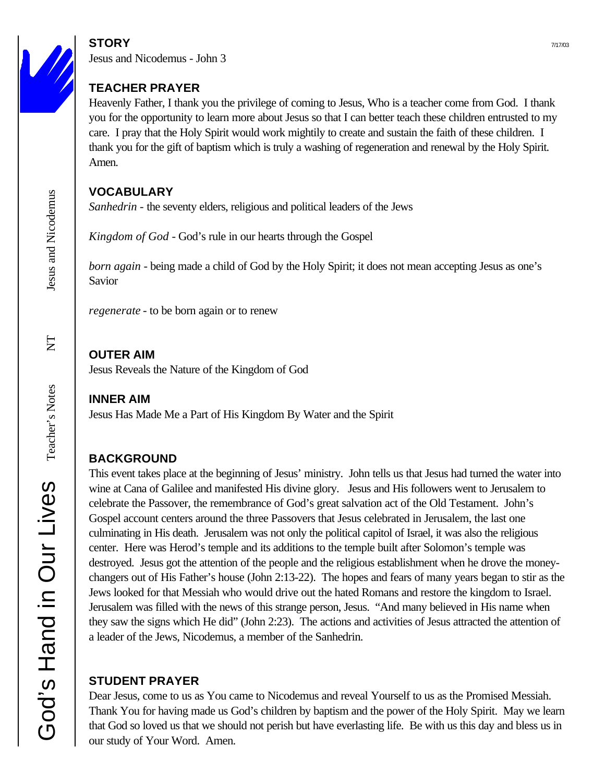## $STORY$   $7/17/03$

Jesus and Nicodemus - John 3

### **TEACHER PRAYER**

Heavenly Father, I thank you the privilege of coming to Jesus, Who is a teacher come from God. I thank you for the opportunity to learn more about Jesus so that I can better teach these children entrusted to my care. I pray that the Holy Spirit would work mightily to create and sustain the faith of these children. I thank you for the gift of baptism which is truly a washing of regeneration and renewal by the Holy Spirit. Amen.

### **VOCABULARY**

*Sanhedrin -* the seventy elders, religious and political leaders of the Jews

*Kingdom of God* - God's rule in our hearts through the Gospel

*born again* - being made a child of God by the Holy Spirit; it does not mean accepting Jesus as one's Savior

*regenerate* - to be born again or to renew

# **OUTER AIM**

Jesus Reveals the Nature of the Kingdom of God

## **INNER AIM**

Jesus Has Made Me a Part of His Kingdom By Water and the Spirit

# **BACKGROUND**

This event takes place at the beginning of Jesus' ministry. John tells us that Jesus had turned the water into wine at Cana of Galilee and manifested His divine glory. Jesus and His followers went to Jerusalem to celebrate the Passover, the remembrance of God's great salvation act of the Old Testament. John's Gospel account centers around the three Passovers that Jesus celebrated in Jerusalem, the last one culminating in His death. Jerusalem was not only the political capitol of Israel, it was also the religious center. Here was Herod's temple and its additions to the temple built after Solomon's temple was destroyed. Jesus got the attention of the people and the religious establishment when he drove the moneychangers out of His Father's house (John 2:13-22). The hopes and fears of many years began to stir as the Jews looked for that Messiah who would drive out the hated Romans and restore the kingdom to Israel. Jerusalem was filled with the news of this strange person, Jesus. "And many believed in His name when they saw the signs which He did" (John 2:23). The actions and activities of Jesus attracted the attention of a leader of the Jews, Nicodemus, a member of the Sanhedrin.

# **STUDENT PRAYER**

Dear Jesus, come to us as You came to Nicodemus and reveal Yourself to us as the Promised Messiah. Thank You for having made us God's children by baptism and the power of the Holy Spirit. May we learn that God so loved us that we should not perish but have everlasting life. Be with us this day and bless us in our study of Your Word. Amen.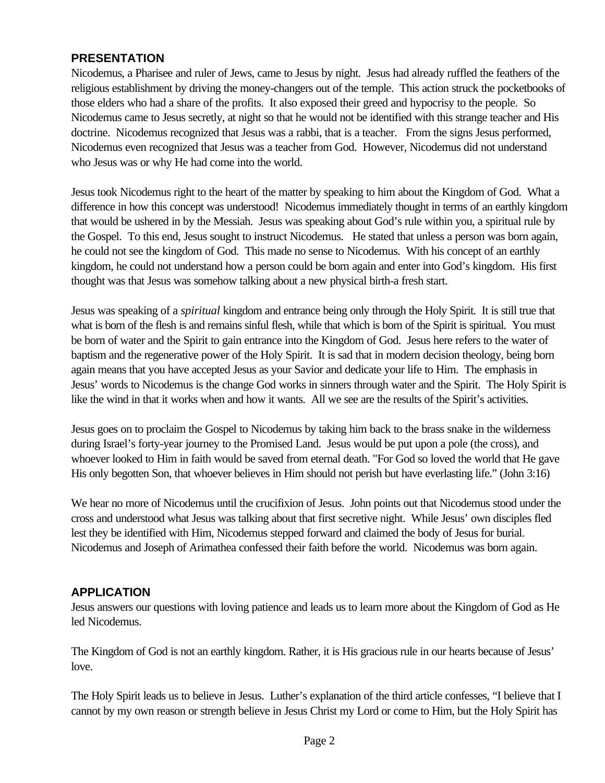#### **PRESENTATION**

Nicodemus, a Pharisee and ruler of Jews, came to Jesus by night. Jesus had already ruffled the feathers of the religious establishment by driving the money-changers out of the temple. This action struck the pocketbooks of those elders who had a share of the profits. It also exposed their greed and hypocrisy to the people. So Nicodemus came to Jesus secretly, at night so that he would not be identified with this strange teacher and His doctrine. Nicodemus recognized that Jesus was a rabbi, that is a teacher. From the signs Jesus performed, Nicodemus even recognized that Jesus was a teacher from God. However, Nicodemus did not understand who Jesus was or why He had come into the world.

Jesus took Nicodemus right to the heart of the matter by speaking to him about the Kingdom of God. What a difference in how this concept was understood! Nicodemus immediately thought in terms of an earthly kingdom that would be ushered in by the Messiah. Jesus was speaking about God's rule within you, a spiritual rule by the Gospel. To this end, Jesus sought to instruct Nicodemus. He stated that unless a person was born again, he could not see the kingdom of God. This made no sense to Nicodemus. With his concept of an earthly kingdom, he could not understand how a person could be born again and enter into God's kingdom. His first thought was that Jesus was somehow talking about a new physical birth-a fresh start.

Jesus was speaking of a *spiritual* kingdom and entrance being only through the Holy Spirit. It is still true that what is born of the flesh is and remains sinful flesh, while that which is born of the Spirit is spiritual. You must be born of water and the Spirit to gain entrance into the Kingdom of God. Jesus here refers to the water of baptism and the regenerative power of the Holy Spirit. It is sad that in modern decision theology, being born again means that you have accepted Jesus as your Savior and dedicate your life to Him. The emphasis in Jesus' words to Nicodemus is the change God works in sinners through water and the Spirit. The Holy Spirit is like the wind in that it works when and how it wants. All we see are the results of the Spirit's activities.

Jesus goes on to proclaim the Gospel to Nicodemus by taking him back to the brass snake in the wilderness during Israel's forty-year journey to the Promised Land. Jesus would be put upon a pole (the cross), and whoever looked to Him in faith would be saved from eternal death. "For God so loved the world that He gave His only begotten Son, that whoever believes in Him should not perish but have everlasting life." (John 3:16)

We hear no more of Nicodemus until the crucifixion of Jesus. John points out that Nicodemus stood under the cross and understood what Jesus was talking about that first secretive night. While Jesus' own disciples fled lest they be identified with Him, Nicodemus stepped forward and claimed the body of Jesus for burial. Nicodemus and Joseph of Arimathea confessed their faith before the world. Nicodemus was born again.

#### **APPLICATION**

Jesus answers our questions with loving patience and leads us to learn more about the Kingdom of God as He led Nicodemus.

The Kingdom of God is not an earthly kingdom. Rather, it is His gracious rule in our hearts because of Jesus' love.

The Holy Spirit leads us to believe in Jesus. Luther's explanation of the third article confesses, "I believe that I cannot by my own reason or strength believe in Jesus Christ my Lord or come to Him, but the Holy Spirit has